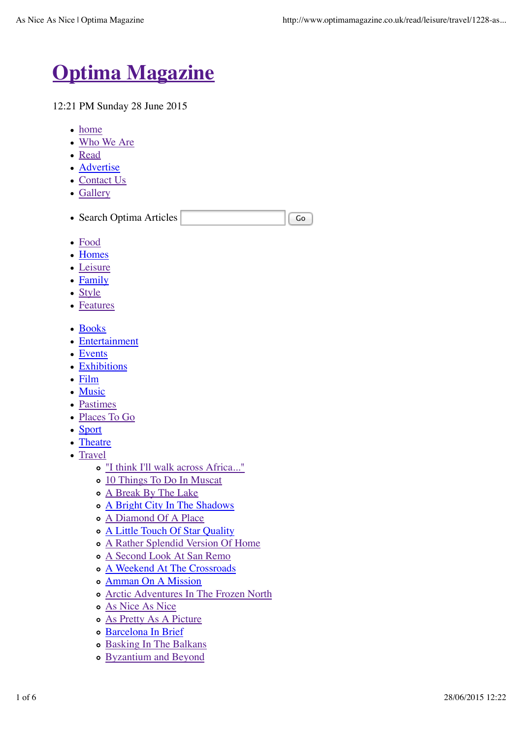

12:21 PM Sunday 28 June 2015

- home
- Who We Are
- Read
- Advertise
- Contact Us
- Gallery

|  | • Search Optima Articles |  |  | $\Box$ Go |  |
|--|--------------------------|--|--|-----------|--|
|--|--------------------------|--|--|-----------|--|

- Food
- Homes
- Leisure
- Family
- Style
- Features
- Books
- Entertainment
- Events
- Exhibitions
- Film
- Music
- Pastimes
- Places To Go
- Sport
- Theatre
- Travel
	- "I think I'll walk across Africa..."
	- 10 Things To Do In Muscat
	- o A Break By The Lake
	- A Bright City In The Shadows
	- A Diamond Of A Place
	- A Little Touch Of Star Quality
	- A Rather Splendid Version Of Home
	- A Second Look At San Remo
	- A Weekend At The Crossroads
	- Amman On A Mission
	- Arctic Adventures In The Frozen North
	- As Nice As Nice
	- As Pretty As A Picture
	- Barcelona In Brief
	- Basking In The Balkans
	- Byzantium and Beyond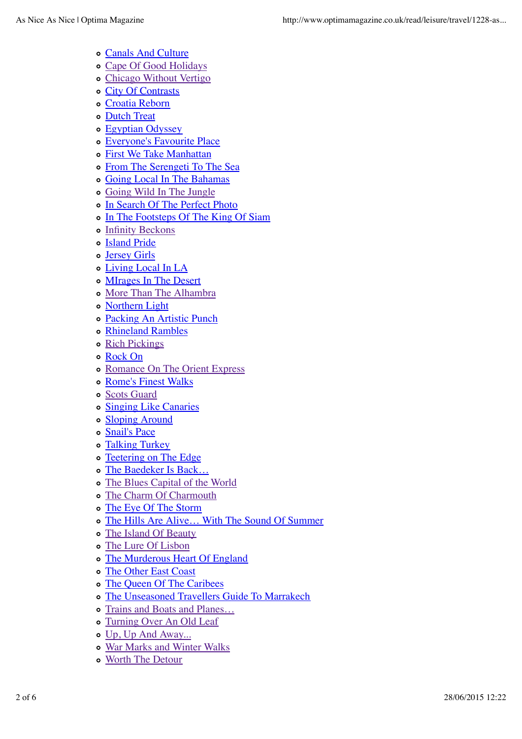- Canals And Culture
- Cape Of Good Holidays
- Chicago Without Vertigo
- o City Of Contrasts
- Croatia Reborn
- Dutch Treat
- Egyptian Odyssey
- Everyone's Favourite Place
- First We Take Manhattan
- From The Serengeti To The Sea
- Going Local In The Bahamas
- Going Wild In The Jungle
- o In Search Of The Perfect Photo
- o In The Footsteps Of The King Of Siam
- Infinity Beckons
- o Island Pride
- Jersey Girls
- Living Local In LA
- MIrages In The Desert
- More Than The Alhambra
- Northern Light
- Packing An Artistic Punch
- Rhineland Rambles
- o Rich Pickings
- Rock On
- o Romance On The Orient Express
- Rome's Finest Walks
- Scots Guard
- Singing Like Canaries
- Sloping Around
- Snail's Pace
- Talking Turkey
- o Teetering on The Edge
- The Baedeker Is Back…
- The Blues Capital of the World
- The Charm Of Charmouth
- The Eye Of The Storm
- The Hills Are Alive… With The Sound Of Summer
- The Island Of Beauty
- The Lure Of Lisbon
- The Murderous Heart Of England
- The Other East Coast
- The Queen Of The Caribees
- The Unseasoned Travellers Guide To Marrakech
- o Trains and Boats and Planes...
- Turning Over An Old Leaf
- Up, Up And Away...
- War Marks and Winter Walks
- Worth The Detour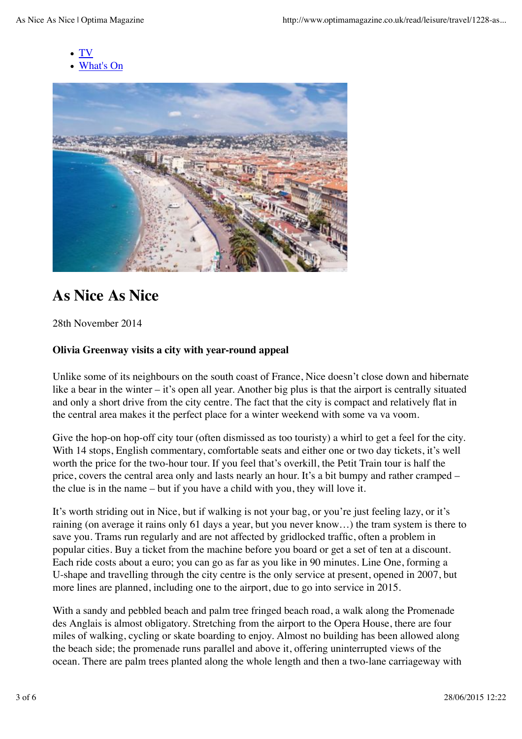- TV
- What's On



## **As Nice As Nice**

28th November 2014

### **Olivia Greenway visits a city with year-round appeal**

Unlike some of its neighbours on the south coast of France, Nice doesn't close down and hibernate like a bear in the winter – it's open all year. Another big plus is that the airport is centrally situated and only a short drive from the city centre. The fact that the city is compact and relatively flat in the central area makes it the perfect place for a winter weekend with some va va voom.

Give the hop-on hop-off city tour (often dismissed as too touristy) a whirl to get a feel for the city. With 14 stops, English commentary, comfortable seats and either one or two day tickets, it's well worth the price for the two-hour tour. If you feel that's overkill, the Petit Train tour is half the price, covers the central area only and lasts nearly an hour. It's a bit bumpy and rather cramped – the clue is in the name – but if you have a child with you, they will love it.

It's worth striding out in Nice, but if walking is not your bag, or you're just feeling lazy, or it's raining (on average it rains only 61 days a year, but you never know…) the tram system is there to save you. Trams run regularly and are not affected by gridlocked traffic, often a problem in popular cities. Buy a ticket from the machine before you board or get a set of ten at a discount. Each ride costs about a euro; you can go as far as you like in 90 minutes. Line One, forming a U-shape and travelling through the city centre is the only service at present, opened in 2007, but more lines are planned, including one to the airport, due to go into service in 2015.

With a sandy and pebbled beach and palm tree fringed beach road, a walk along the Promenade des Anglais is almost obligatory. Stretching from the airport to the Opera House, there are four miles of walking, cycling or skate boarding to enjoy. Almost no building has been allowed along the beach side; the promenade runs parallel and above it, offering uninterrupted views of the ocean. There are palm trees planted along the whole length and then a two-lane carriageway with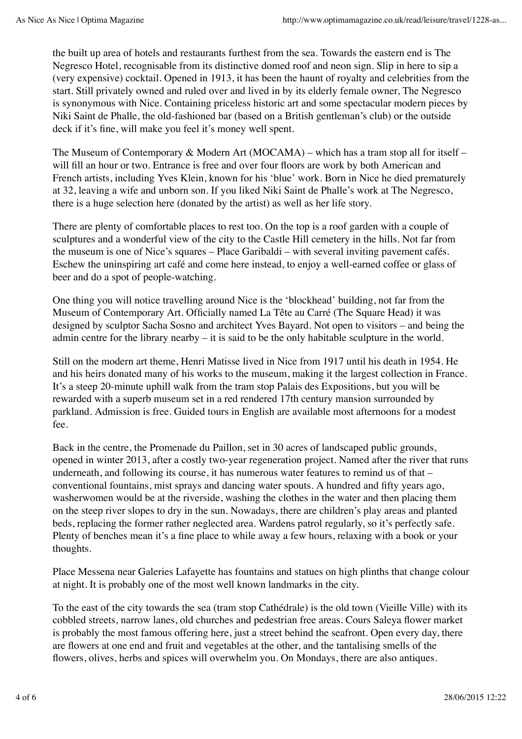the built up area of hotels and restaurants furthest from the sea. Towards the eastern end is The Negresco Hotel, recognisable from its distinctive domed roof and neon sign. Slip in here to sip a (very expensive) cocktail. Opened in 1913, it has been the haunt of royalty and celebrities from the start. Still privately owned and ruled over and lived in by its elderly female owner, The Negresco is synonymous with Nice. Containing priceless historic art and some spectacular modern pieces by Niki Saint de Phalle, the old-fashioned bar (based on a British gentleman's club) or the outside deck if it's fine, will make you feel it's money well spent.

The Museum of Contemporary & Modern Art (MOCAMA) – which has a tram stop all for itself – will fill an hour or two. Entrance is free and over four floors are work by both American and French artists, including Yves Klein, known for his 'blue' work. Born in Nice he died prematurely at 32, leaving a wife and unborn son. If you liked Niki Saint de Phalle's work at The Negresco, there is a huge selection here (donated by the artist) as well as her life story.

There are plenty of comfortable places to rest too. On the top is a roof garden with a couple of sculptures and a wonderful view of the city to the Castle Hill cemetery in the hills. Not far from the museum is one of Nice's squares – Place Garibaldi – with several inviting pavement cafés. Eschew the uninspiring art café and come here instead, to enjoy a well-earned coffee or glass of beer and do a spot of people-watching.

One thing you will notice travelling around Nice is the 'blockhead' building, not far from the Museum of Contemporary Art. Officially named La Tête au Carré (The Square Head) it was designed by sculptor Sacha Sosno and architect Yves Bayard. Not open to visitors – and being the admin centre for the library nearby – it is said to be the only habitable sculpture in the world.

Still on the modern art theme, Henri Matisse lived in Nice from 1917 until his death in 1954. He and his heirs donated many of his works to the museum, making it the largest collection in France. It's a steep 20-minute uphill walk from the tram stop Palais des Expositions, but you will be rewarded with a superb museum set in a red rendered 17th century mansion surrounded by parkland. Admission is free. Guided tours in English are available most afternoons for a modest fee.

Back in the centre, the Promenade du Paillon, set in 30 acres of landscaped public grounds, opened in winter 2013, after a costly two-year regeneration project. Named after the river that runs underneath, and following its course, it has numerous water features to remind us of that – conventional fountains, mist sprays and dancing water spouts. A hundred and fifty years ago, washerwomen would be at the riverside, washing the clothes in the water and then placing them on the steep river slopes to dry in the sun. Nowadays, there are children's play areas and planted beds, replacing the former rather neglected area. Wardens patrol regularly, so it's perfectly safe. Plenty of benches mean it's a fine place to while away a few hours, relaxing with a book or your thoughts.

Place Messena near Galeries Lafayette has fountains and statues on high plinths that change colour at night. It is probably one of the most well known landmarks in the city.

To the east of the city towards the sea (tram stop Cathédrale) is the old town (Vieille Ville) with its cobbled streets, narrow lanes, old churches and pedestrian free areas. Cours Saleya flower market is probably the most famous offering here, just a street behind the seafront. Open every day, there are flowers at one end and fruit and vegetables at the other, and the tantalising smells of the flowers, olives, herbs and spices will overwhelm you. On Mondays, there are also antiques.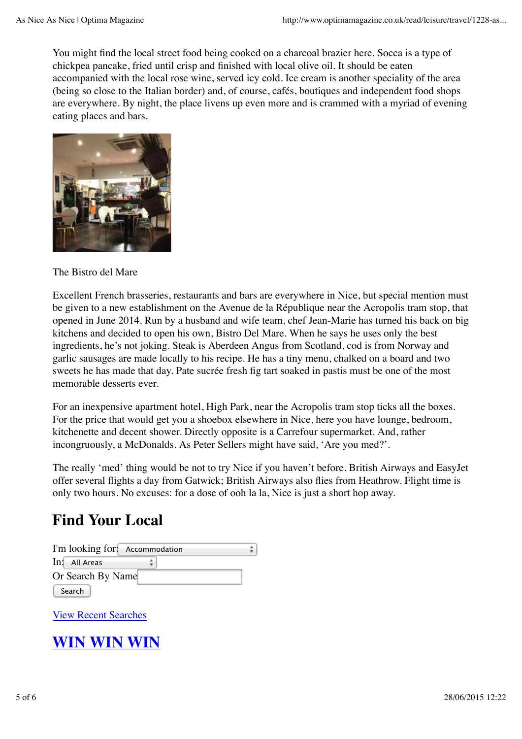You might find the local street food being cooked on a charcoal brazier here. Socca is a type of chickpea pancake, fried until crisp and finished with local olive oil. It should be eaten accompanied with the local rose wine, served icy cold. Ice cream is another speciality of the area (being so close to the Italian border) and, of course, cafés, boutiques and independent food shops are everywhere. By night, the place livens up even more and is crammed with a myriad of evening eating places and bars.



The Bistro del Mare

Excellent French brasseries, restaurants and bars are everywhere in Nice, but special mention must be given to a new establishment on the Avenue de la République near the Acropolis tram stop, that opened in June 2014. Run by a husband and wife team, chef Jean-Marie has turned his back on big kitchens and decided to open his own, Bistro Del Mare. When he says he uses only the best ingredients, he's not joking. Steak is Aberdeen Angus from Scotland, cod is from Norway and garlic sausages are made locally to his recipe. He has a tiny menu, chalked on a board and two sweets he has made that day. Pate sucrée fresh fig tart soaked in pastis must be one of the most memorable desserts ever.

For an inexpensive apartment hotel, High Park, near the Acropolis tram stop ticks all the boxes. For the price that would get you a shoebox elsewhere in Nice, here you have lounge, bedroom, kitchenette and decent shower. Directly opposite is a Carrefour supermarket. And, rather incongruously, a McDonalds. As Peter Sellers might have said, 'Are you med?'.

The really 'med' thing would be not to try Nice if you haven't before. British Airways and EasyJet offer several flights a day from Gatwick; British Airways also flies from Heathrow. Flight time is only two hours. No excuses: for a dose of ooh la la, Nice is just a short hop away.

# **Find Your Local**

| I'm looking for: Accommodation |  |  |  |  |  |
|--------------------------------|--|--|--|--|--|
| In: All Areas                  |  |  |  |  |  |
| Or Search By Name              |  |  |  |  |  |
| Search                         |  |  |  |  |  |

View Recent Searches